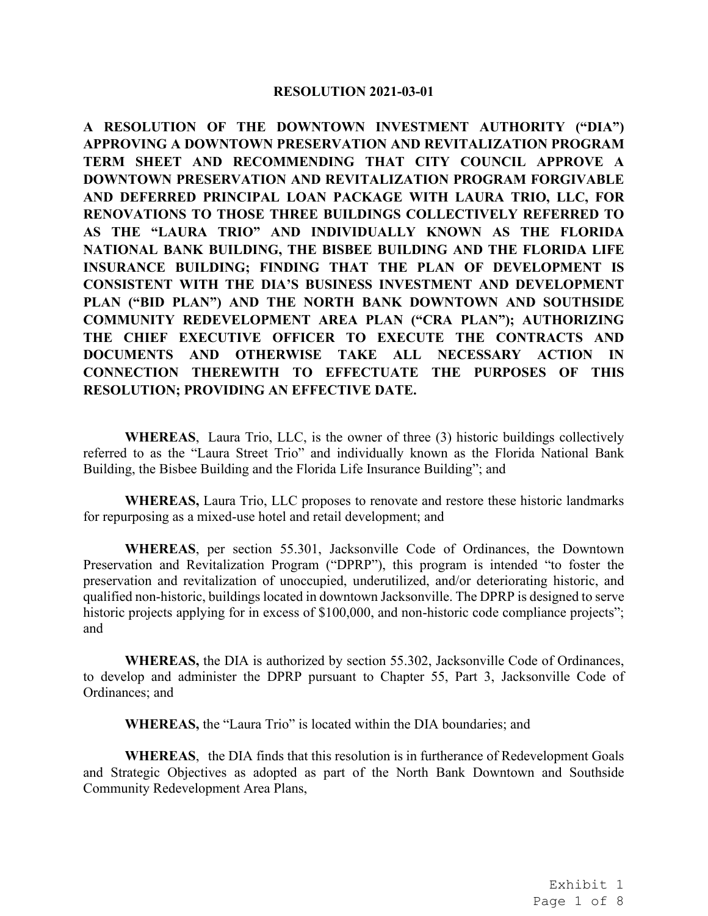#### **RESOLUTION 2021-03-01**

**A RESOLUTION OF THE DOWNTOWN INVESTMENT AUTHORITY ("DIA") APPROVING A DOWNTOWN PRESERVATION AND REVITALIZATION PROGRAM TERM SHEET AND RECOMMENDING THAT CITY COUNCIL APPROVE A DOWNTOWN PRESERVATION AND REVITALIZATION PROGRAM FORGIVABLE AND DEFERRED PRINCIPAL LOAN PACKAGE WITH LAURA TRIO, LLC, FOR RENOVATIONS TO THOSE THREE BUILDINGS COLLECTIVELY REFERRED TO AS THE "LAURA TRIO" AND INDIVIDUALLY KNOWN AS THE FLORIDA NATIONAL BANK BUILDING, THE BISBEE BUILDING AND THE FLORIDA LIFE INSURANCE BUILDING; FINDING THAT THE PLAN OF DEVELOPMENT IS CONSISTENT WITH THE DIA'S BUSINESS INVESTMENT AND DEVELOPMENT PLAN ("BID PLAN") AND THE NORTH BANK DOWNTOWN AND SOUTHSIDE COMMUNITY REDEVELOPMENT AREA PLAN ("CRA PLAN"); AUTHORIZING THE CHIEF EXECUTIVE OFFICER TO EXECUTE THE CONTRACTS AND DOCUMENTS AND OTHERWISE TAKE ALL NECESSARY ACTION IN CONNECTION THEREWITH TO EFFECTUATE THE PURPOSES OF THIS RESOLUTION; PROVIDING AN EFFECTIVE DATE.** 

**WHEREAS**, Laura Trio, LLC, is the owner of three (3) historic buildings collectively referred to as the "Laura Street Trio" and individually known as the Florida National Bank Building, the Bisbee Building and the Florida Life Insurance Building"; and

**WHEREAS,** Laura Trio, LLC proposes to renovate and restore these historic landmarks for repurposing as a mixed-use hotel and retail development; and

**WHEREAS**, per section 55.301, Jacksonville Code of Ordinances, the Downtown Preservation and Revitalization Program ("DPRP"), this program is intended "to foster the preservation and revitalization of unoccupied, underutilized, and/or deteriorating historic, and qualified non-historic, buildings located in downtown Jacksonville. The DPRP is designed to serve historic projects applying for in excess of \$100,000, and non-historic code compliance projects"; and

**WHEREAS,** the DIA is authorized by section 55.302, Jacksonville Code of Ordinances, to develop and administer the DPRP pursuant to Chapter 55, Part 3, Jacksonville Code of Ordinances; and

**WHEREAS,** the "Laura Trio" is located within the DIA boundaries; and

**WHEREAS**, the DIA finds that this resolution is in furtherance of Redevelopment Goals and Strategic Objectives as adopted as part of the North Bank Downtown and Southside Community Redevelopment Area Plans,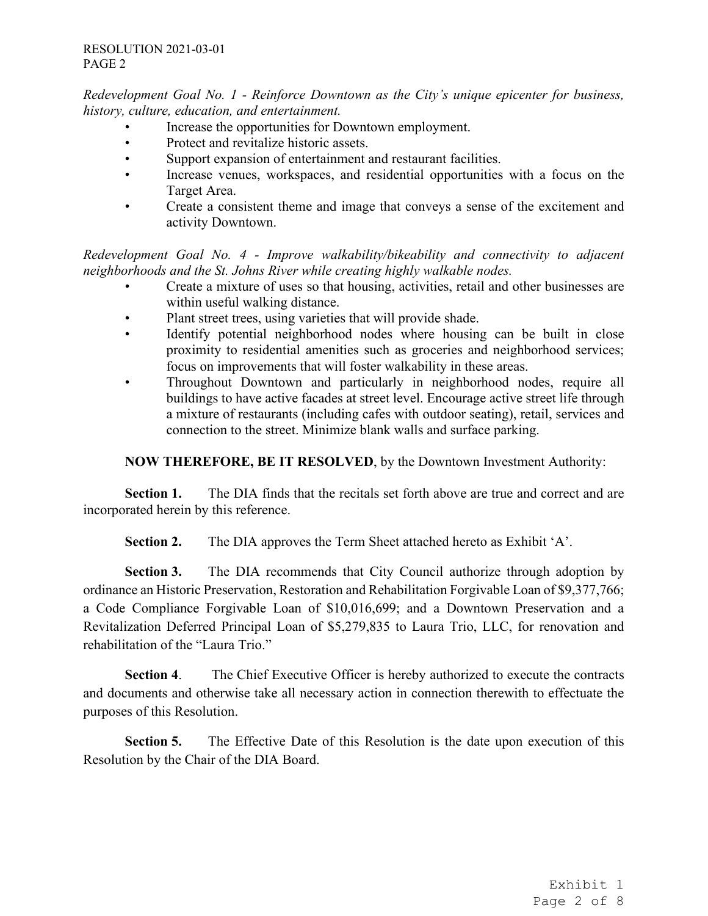*Redevelopment Goal No. 1 - Reinforce Downtown as the City's unique epicenter for business, history, culture, education, and entertainment.*

- Increase the opportunities for Downtown employment.
- Protect and revitalize historic assets.
- Support expansion of entertainment and restaurant facilities.
- Increase venues, workspaces, and residential opportunities with a focus on the Target Area.
- Create a consistent theme and image that conveys a sense of the excitement and activity Downtown.

*Redevelopment Goal No. 4 - Improve walkability/bikeability and connectivity to adjacent neighborhoods and the St. Johns River while creating highly walkable nodes.* 

- Create a mixture of uses so that housing, activities, retail and other businesses are within useful walking distance.
- Plant street trees, using varieties that will provide shade.
- Identify potential neighborhood nodes where housing can be built in close proximity to residential amenities such as groceries and neighborhood services; focus on improvements that will foster walkability in these areas.
- Throughout Downtown and particularly in neighborhood nodes, require all buildings to have active facades at street level. Encourage active street life through a mixture of restaurants (including cafes with outdoor seating), retail, services and connection to the street. Minimize blank walls and surface parking.

**NOW THEREFORE, BE IT RESOLVED**, by the Downtown Investment Authority:

**Section 1.** The DIA finds that the recitals set forth above are true and correct and are incorporated herein by this reference.

**Section 2.** The DIA approves the Term Sheet attached hereto as Exhibit 'A'.

**Section 3.** The DIA recommends that City Council authorize through adoption by ordinance an Historic Preservation, Restoration and Rehabilitation Forgivable Loan of \$9,377,766; a Code Compliance Forgivable Loan of \$10,016,699; and a Downtown Preservation and a Revitalization Deferred Principal Loan of \$5,279,835 to Laura Trio, LLC, for renovation and rehabilitation of the "Laura Trio."

**Section 4**. The Chief Executive Officer is hereby authorized to execute the contracts and documents and otherwise take all necessary action in connection therewith to effectuate the purposes of this Resolution.

**Section 5.** The Effective Date of this Resolution is the date upon execution of this Resolution by the Chair of the DIA Board.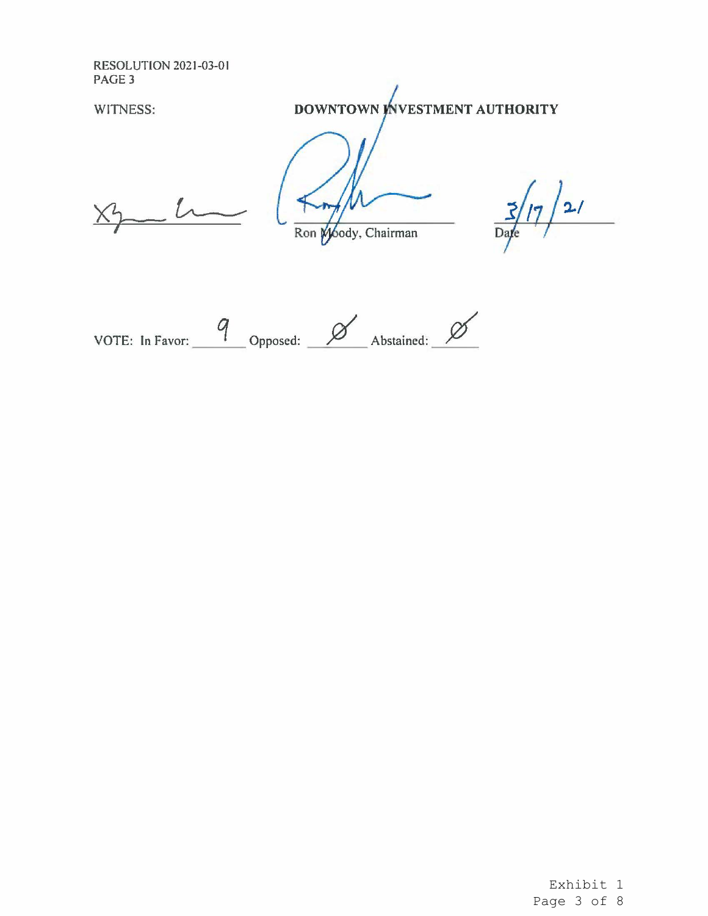RESOLUTION 2021-03-01 PAGE3

WITNESS: **DOWNTOWN INVESTMENT AUTHORITY** 

Ron Moody, Chairman

 $2/$ Date

VOTE: In Favor: 9 Opposed: 2/2010 Abstained: 2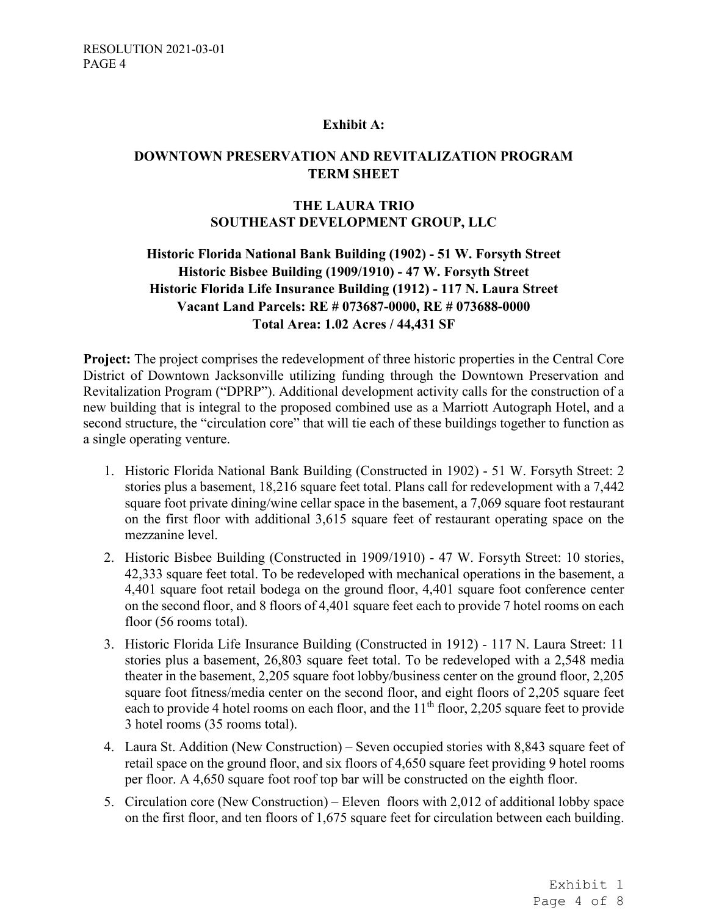### **Exhibit A:**

## **DOWNTOWN PRESERVATION AND REVITALIZATION PROGRAM TERM SHEET**

### **THE LAURA TRIO SOUTHEAST DEVELOPMENT GROUP, LLC**

# **Historic Florida National Bank Building (1902) - 51 W. Forsyth Street Historic Bisbee Building (1909/1910) - 47 W. Forsyth Street Historic Florida Life Insurance Building (1912) - 117 N. Laura Street Vacant Land Parcels: RE # 073687-0000, RE # 073688-0000 Total Area: 1.02 Acres / 44,431 SF**

**Project:** The project comprises the redevelopment of three historic properties in the Central Core District of Downtown Jacksonville utilizing funding through the Downtown Preservation and Revitalization Program ("DPRP"). Additional development activity calls for the construction of a new building that is integral to the proposed combined use as a Marriott Autograph Hotel, and a second structure, the "circulation core" that will tie each of these buildings together to function as a single operating venture.

- 1. Historic Florida National Bank Building (Constructed in 1902) 51 W. Forsyth Street: 2 stories plus a basement, 18,216 square feet total. Plans call for redevelopment with a 7,442 square foot private dining/wine cellar space in the basement, a 7,069 square foot restaurant on the first floor with additional 3,615 square feet of restaurant operating space on the mezzanine level.
- 2. Historic Bisbee Building (Constructed in 1909/1910) 47 W. Forsyth Street: 10 stories, 42,333 square feet total. To be redeveloped with mechanical operations in the basement, a 4,401 square foot retail bodega on the ground floor, 4,401 square foot conference center on the second floor, and 8 floors of 4,401 square feet each to provide 7 hotel rooms on each floor (56 rooms total).
- 3. Historic Florida Life Insurance Building (Constructed in 1912) 117 N. Laura Street: 11 stories plus a basement, 26,803 square feet total. To be redeveloped with a 2,548 media theater in the basement, 2,205 square foot lobby/business center on the ground floor, 2,205 square foot fitness/media center on the second floor, and eight floors of 2,205 square feet each to provide 4 hotel rooms on each floor, and the  $11<sup>th</sup>$  floor, 2,205 square feet to provide 3 hotel rooms (35 rooms total).
- 4. Laura St. Addition (New Construction) Seven occupied stories with 8,843 square feet of retail space on the ground floor, and six floors of 4,650 square feet providing 9 hotel rooms per floor. A 4,650 square foot roof top bar will be constructed on the eighth floor.
- 5. Circulation core (New Construction) Eleven floors with 2,012 of additional lobby space on the first floor, and ten floors of 1,675 square feet for circulation between each building.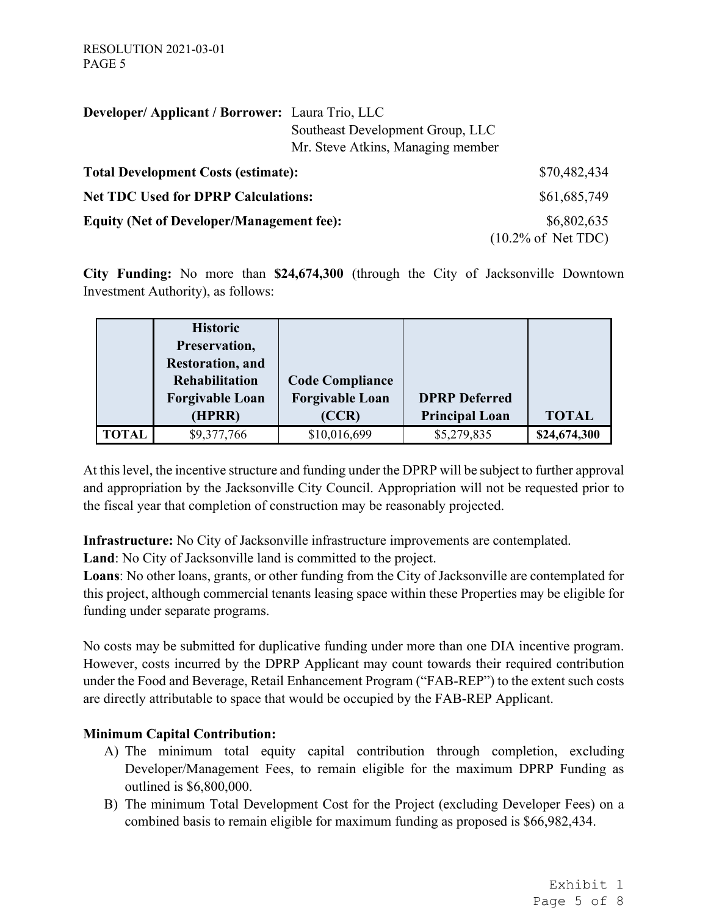| Developer/ Applicant / Borrower: Laura Trio, LLC |                                   |                                        |
|--------------------------------------------------|-----------------------------------|----------------------------------------|
|                                                  | Southeast Development Group, LLC  |                                        |
|                                                  | Mr. Steve Atkins, Managing member |                                        |
| <b>Total Development Costs (estimate):</b>       |                                   | \$70,482,434                           |
| <b>Net TDC Used for DPRP Calculations:</b>       |                                   | \$61,685,749                           |
| <b>Equity (Net of Developer/Management fee):</b> |                                   | \$6,802,635                            |
|                                                  |                                   | $(10.2\% \text{ of } Net \text{ TDC})$ |

**City Funding:** No more than **\$24,674,300** (through the City of Jacksonville Downtown Investment Authority), as follows:

|              | <b>Historic</b><br>Preservation,<br><b>Restoration</b> , and<br><b>Rehabilitation</b><br><b>Forgivable Loan</b><br>(HPRR) | <b>Code Compliance</b><br><b>Forgivable Loan</b><br>(CCR) | <b>DPRP</b> Deferred<br><b>Principal Loan</b> | <b>TOTAL</b> |
|--------------|---------------------------------------------------------------------------------------------------------------------------|-----------------------------------------------------------|-----------------------------------------------|--------------|
| <b>TOTAL</b> | \$9,377,766                                                                                                               | \$10,016,699                                              | \$5,279,835                                   | \$24,674,300 |

At this level, the incentive structure and funding under the DPRP will be subject to further approval and appropriation by the Jacksonville City Council. Appropriation will not be requested prior to the fiscal year that completion of construction may be reasonably projected.

**Infrastructure:** No City of Jacksonville infrastructure improvements are contemplated.

**Land**: No City of Jacksonville land is committed to the project.

**Loans**: No other loans, grants, or other funding from the City of Jacksonville are contemplated for this project, although commercial tenants leasing space within these Properties may be eligible for funding under separate programs.

No costs may be submitted for duplicative funding under more than one DIA incentive program. However, costs incurred by the DPRP Applicant may count towards their required contribution under the Food and Beverage, Retail Enhancement Program ("FAB-REP") to the extent such costs are directly attributable to space that would be occupied by the FAB-REP Applicant.

# **Minimum Capital Contribution:**

- A) The minimum total equity capital contribution through completion, excluding Developer/Management Fees, to remain eligible for the maximum DPRP Funding as outlined is \$6,800,000.
- B) The minimum Total Development Cost for the Project (excluding Developer Fees) on a combined basis to remain eligible for maximum funding as proposed is \$66,982,434.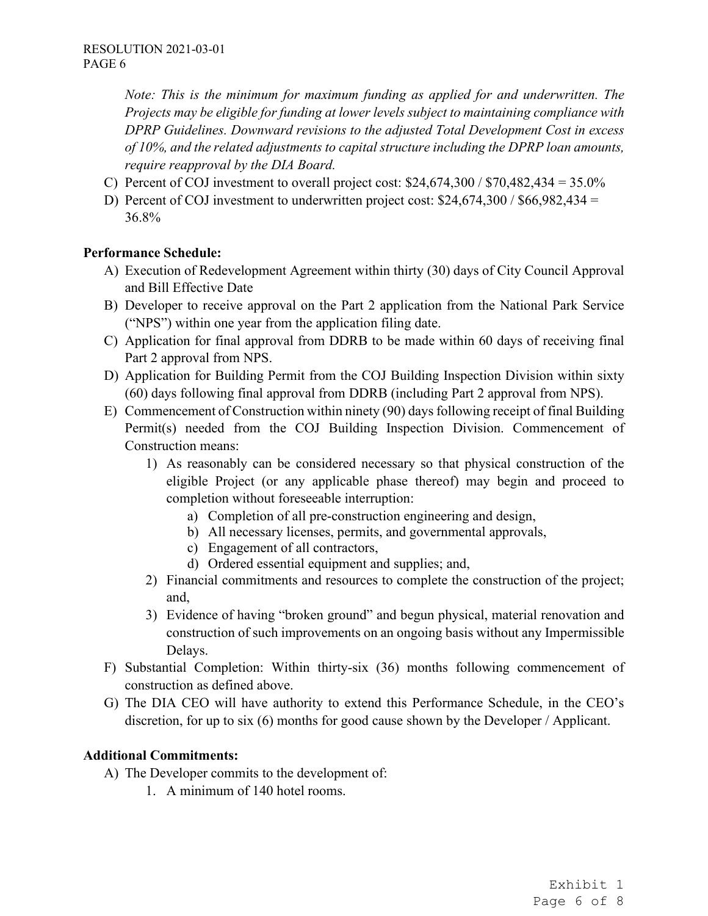*Note: This is the minimum for maximum funding as applied for and underwritten. The Projects may be eligible for funding at lower levels subject to maintaining compliance with DPRP Guidelines. Downward revisions to the adjusted Total Development Cost in excess of 10%, and the related adjustments to capital structure including the DPRP loan amounts, require reapproval by the DIA Board.* 

- C) Percent of COJ investment to overall project cost:  $$24,674,300 / $70,482,434 = 35.0\%$
- D) Percent of COJ investment to underwritten project cost:  $$24,674,300 / $66,982,434 =$ 36.8%

### **Performance Schedule:**

- A) Execution of Redevelopment Agreement within thirty (30) days of City Council Approval and Bill Effective Date
- B) Developer to receive approval on the Part 2 application from the National Park Service ("NPS") within one year from the application filing date.
- C) Application for final approval from DDRB to be made within 60 days of receiving final Part 2 approval from NPS.
- D) Application for Building Permit from the COJ Building Inspection Division within sixty (60) days following final approval from DDRB (including Part 2 approval from NPS).
- E) Commencement of Construction within ninety (90) days following receipt of final Building Permit(s) needed from the COJ Building Inspection Division. Commencement of Construction means:
	- 1) As reasonably can be considered necessary so that physical construction of the eligible Project (or any applicable phase thereof) may begin and proceed to completion without foreseeable interruption:
		- a) Completion of all pre-construction engineering and design,
		- b) All necessary licenses, permits, and governmental approvals,
		- c) Engagement of all contractors,
		- d) Ordered essential equipment and supplies; and,
	- 2) Financial commitments and resources to complete the construction of the project; and,
	- 3) Evidence of having "broken ground" and begun physical, material renovation and construction of such improvements on an ongoing basis without any Impermissible Delays.
- F) Substantial Completion: Within thirty-six (36) months following commencement of construction as defined above.
- G) The DIA CEO will have authority to extend this Performance Schedule, in the CEO's discretion, for up to six (6) months for good cause shown by the Developer / Applicant.

### **Additional Commitments:**

- A) The Developer commits to the development of:
	- 1. A minimum of 140 hotel rooms.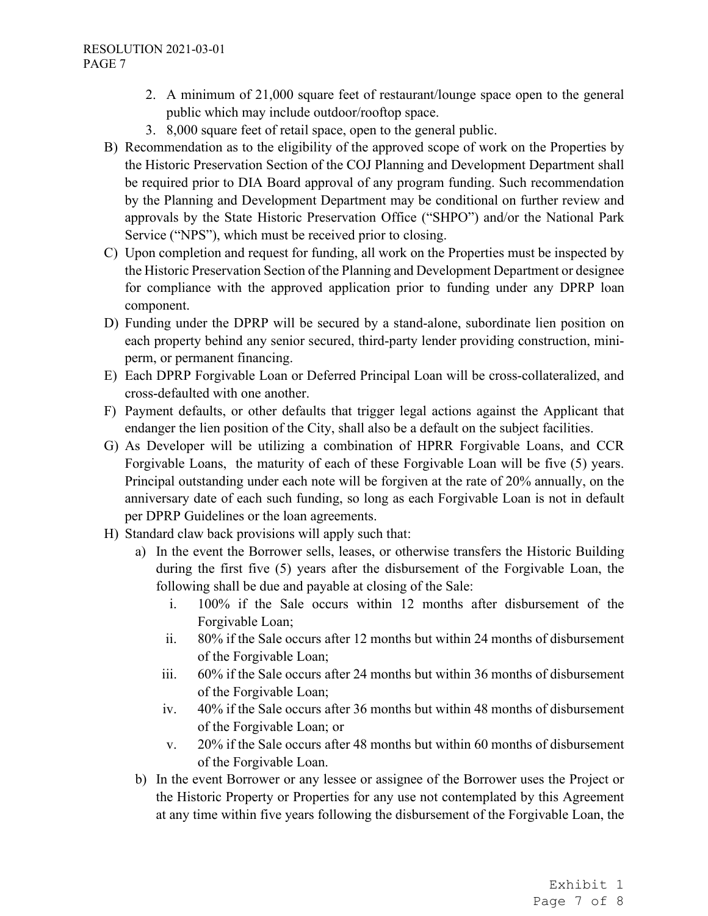- 2. A minimum of 21,000 square feet of restaurant/lounge space open to the general public which may include outdoor/rooftop space.
- 3. 8,000 square feet of retail space, open to the general public.
- B) Recommendation as to the eligibility of the approved scope of work on the Properties by the Historic Preservation Section of the COJ Planning and Development Department shall be required prior to DIA Board approval of any program funding. Such recommendation by the Planning and Development Department may be conditional on further review and approvals by the State Historic Preservation Office ("SHPO") and/or the National Park Service ("NPS"), which must be received prior to closing.
- C) Upon completion and request for funding, all work on the Properties must be inspected by the Historic Preservation Section of the Planning and Development Department or designee for compliance with the approved application prior to funding under any DPRP loan component.
- D) Funding under the DPRP will be secured by a stand-alone, subordinate lien position on each property behind any senior secured, third-party lender providing construction, miniperm, or permanent financing.
- E) Each DPRP Forgivable Loan or Deferred Principal Loan will be cross-collateralized, and cross-defaulted with one another.
- F) Payment defaults, or other defaults that trigger legal actions against the Applicant that endanger the lien position of the City, shall also be a default on the subject facilities.
- G) As Developer will be utilizing a combination of HPRR Forgivable Loans, and CCR Forgivable Loans, the maturity of each of these Forgivable Loan will be five (5) years. Principal outstanding under each note will be forgiven at the rate of 20% annually, on the anniversary date of each such funding, so long as each Forgivable Loan is not in default per DPRP Guidelines or the loan agreements.
- H) Standard claw back provisions will apply such that:
	- a) In the event the Borrower sells, leases, or otherwise transfers the Historic Building during the first five (5) years after the disbursement of the Forgivable Loan, the following shall be due and payable at closing of the Sale:
		- i. 100% if the Sale occurs within 12 months after disbursement of the Forgivable Loan;
		- ii. 80% if the Sale occurs after 12 months but within 24 months of disbursement of the Forgivable Loan;
		- iii. 60% if the Sale occurs after 24 months but within 36 months of disbursement of the Forgivable Loan;
		- iv. 40% if the Sale occurs after 36 months but within 48 months of disbursement of the Forgivable Loan; or
		- v. 20% if the Sale occurs after 48 months but within 60 months of disbursement of the Forgivable Loan.
	- b) In the event Borrower or any lessee or assignee of the Borrower uses the Project or the Historic Property or Properties for any use not contemplated by this Agreement at any time within five years following the disbursement of the Forgivable Loan, the